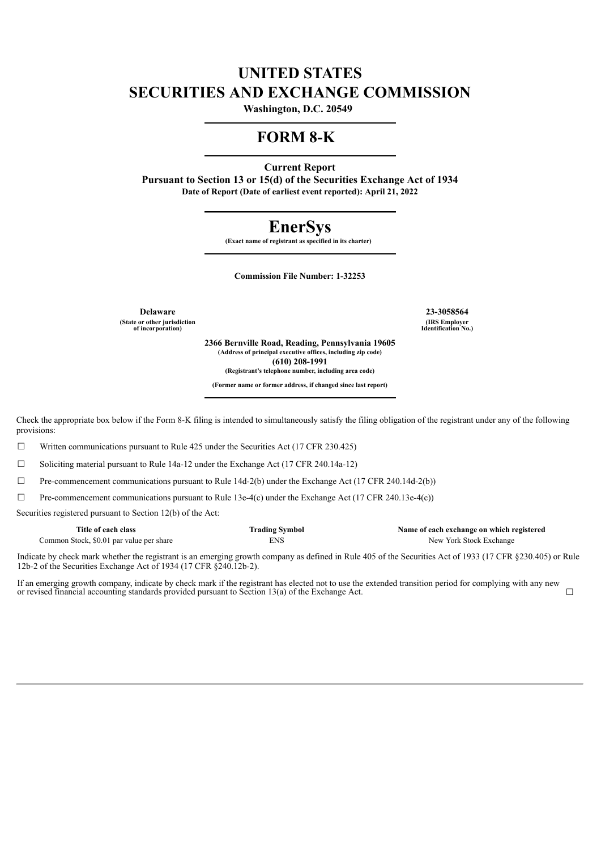# **UNITED STATES SECURITIES AND EXCHANGE COMMISSION**

**Washington, D.C. 20549** 

## **FORM 8-K**

**Current Report**

**Pursuant to Section 13 or 15(d) of the Securities Exchange Act of 1934 Date of Report (Date of earliest event reported): April 21, 2022**

# **EnerSys**

**(Exact name of registrant as specified in its charter)** 

**Commission File Number: 1-32253**

**(State or other jurisdiction of incorporation)**

**Delaware 23-3058564 (IRS Employer Identification No.)**

> **2366 Bernville Road, Reading, Pennsylvania 19605 (Address of principal executive offices, including zip code) (610) 208-1991 (Registrant's telephone number, including area code)**

**(Former name or former address, if changed since last report)**

Check the appropriate box below if the Form 8-K filing is intended to simultaneously satisfy the filing obligation of the registrant under any of the following provisions:

 $\Box$  Written communications pursuant to Rule 425 under the Securities Act (17 CFR 230.425)

☐ Soliciting material pursuant to Rule 14a-12 under the Exchange Act (17 CFR 240.14a-12)

 $\Box$  Pre-commencement communications pursuant to Rule 14d-2(b) under the Exchange Act (17 CFR 240.14d-2(b))

 $\Box$  Pre-commencement communications pursuant to Rule 13e-4(c) under the Exchange Act (17 CFR 240.13e-4(c))

Securities registered pursuant to Section 12(b) of the Act:

| Title of each class                      | <b>Trading Symbol</b> | Name of each exchange on which registered |
|------------------------------------------|-----------------------|-------------------------------------------|
| Common Stock, \$0.01 par value per share | ENS                   | New York Stock Exchange                   |

Indicate by check mark whether the registrant is an emerging growth company as defined in Rule 405 of the Securities Act of 1933 (17 CFR §230.405) or Rule 12b-2 of the Securities Exchange Act of 1934 (17 CFR §240.12b-2).

If an emerging growth company, indicate by check mark if the registrant has elected not to use the extended transition period for complying with any new or revised financial accounting standards provided pursuant to Section 13(a) of the Exchange Act. <del>□</del>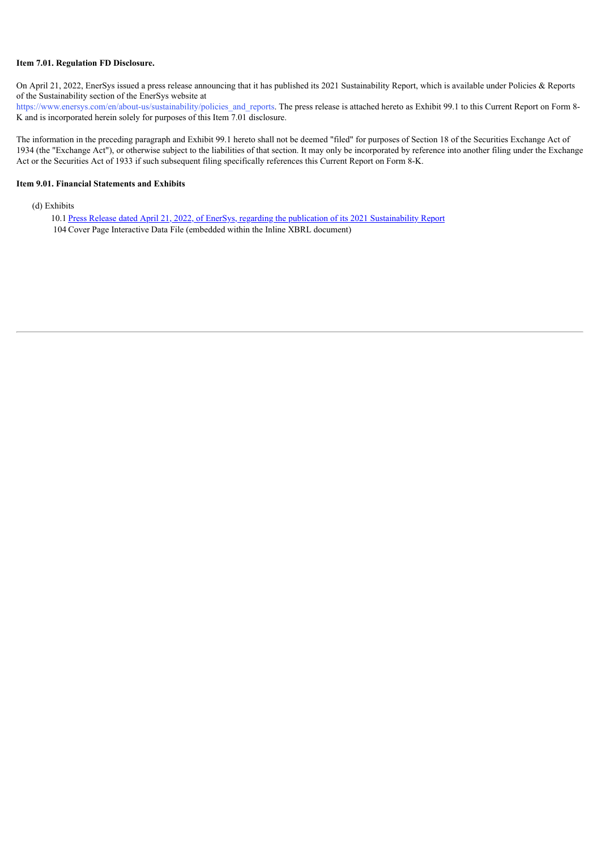#### **Item 7.01. Regulation FD Disclosure.**

On April 21, 2022, EnerSys issued a press release announcing that it has published its 2021 Sustainability Report, which is available under Policies & Reports of the Sustainability section of the EnerSys website at

https://www.enersys.com/en/about-us/sustainability/policies and reports. The press release is attached hereto as Exhibit 99.1 to this Current Report on Form 8-K and is incorporated herein solely for purposes of this Item 7.01 disclosure.

The information in the preceding paragraph and Exhibit 99.1 hereto shall not be deemed "filed" for purposes of Section 18 of the Securities Exchange Act of 1934 (the "Exchange Act"), or otherwise subject to the liabilities of that section. It may only be incorporated by reference into another filing under the Exchange Act or the Securities Act of 1933 if such subsequent filing specifically references this Current Report on Form 8-K.

#### **Item 9.01. Financial Statements and Exhibits**

(d) Exhibits

10.1 Press Release dated April 21, 2022, of EnerSys, regarding the publication of its 2021 [Sustainability](#page-3-0) Report 104 Cover Page Interactive Data File (embedded within the Inline XBRL document)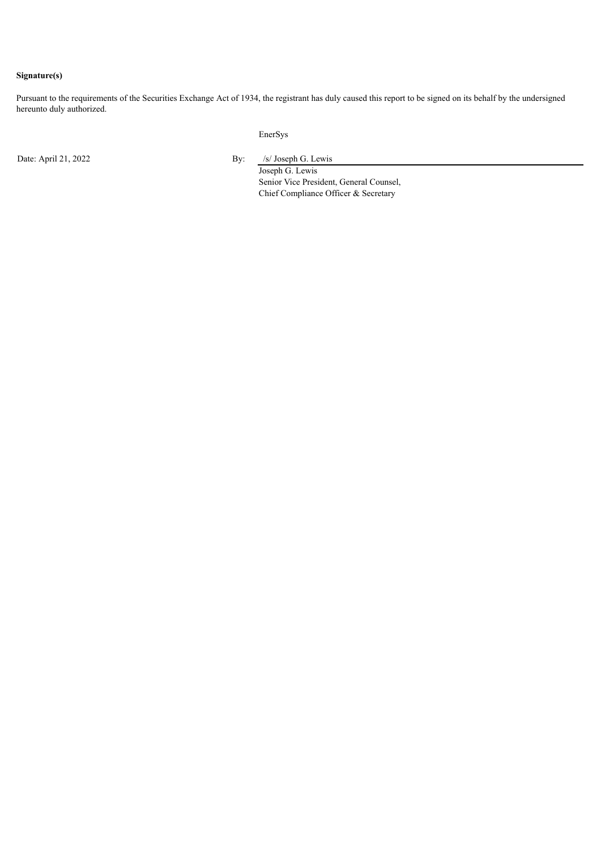#### **Signature(s)**

Pursuant to the requirements of the Securities Exchange Act of 1934, the registrant has duly caused this report to be signed on its behalf by the undersigned hereunto duly authorized.

EnerSys

Date: April 21, 2022 By: /s/ Joseph G. Lewis

Joseph G. Lewis Senior Vice President, General Counsel, Chief Compliance Officer & Secretary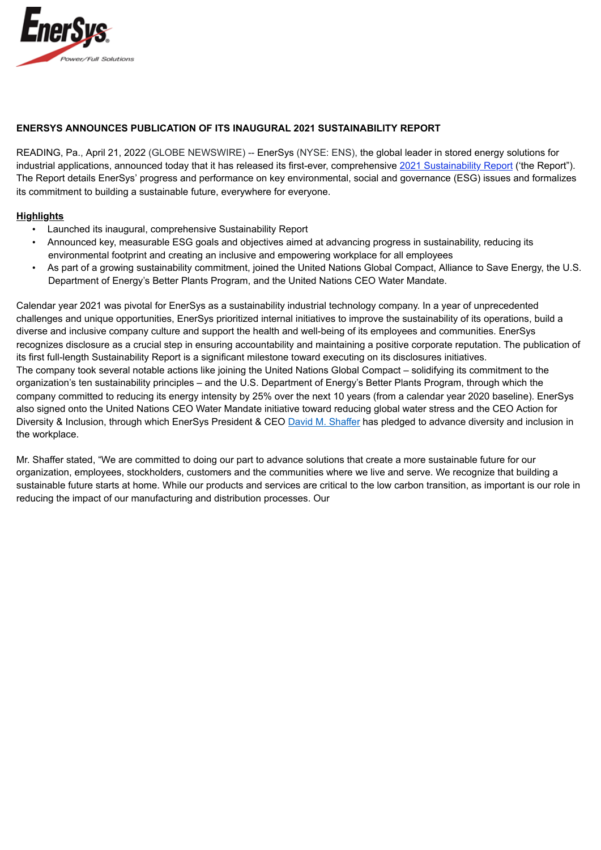<span id="page-3-0"></span>

### **ENERSYS ANNOUNCES PUBLICATION OF ITS INAUGURAL 2021 SUSTAINABILITY REPORT**

READING, Pa., April 21, 2022 (GLOBE NEWSWIRE) -- EnerSys (NYSE: ENS), the global leader in stored energy solutions for industrial applications, announced today that it has released its first-ever, comprehensive 2021 Sustainability Report ('the Report"). The Report details EnerSys' progress and performance on key environmental, social and governance (ESG) issues and formalizes its commitment to building a sustainable future, everywhere for everyone.

#### **Highlights**

- Launched its inaugural, comprehensive Sustainability Report
- Announced key, measurable ESG goals and objectives aimed at advancing progress in sustainability, reducing its environmental footprint and creating an inclusive and empowering workplace for all employees
- As part of a growing sustainability commitment, joined the United Nations Global Compact, Alliance to Save Energy, the U.S. Department of Energy's Better Plants Program, and the United Nations CEO Water Mandate.

Calendar year 2021 was pivotal for EnerSys as a sustainability industrial technology company. In a year of unprecedented challenges and unique opportunities, EnerSys prioritized internal initiatives to improve the sustainability of its operations, build a diverse and inclusive company culture and support the health and well-being of its employees and communities. EnerSys recognizes disclosure as a crucial step in ensuring accountability and maintaining a positive corporate reputation. The publication of its first full-length Sustainability Report is a significant milestone toward executing on its disclosures initiatives. The company took several notable actions like joining the United Nations Global Compact – solidifying its commitment to the organization's ten sustainability principles – and the U.S. Department of Energy's Better Plants Program, through which the company committed to reducing its energy intensity by 25% over the next 10 years (from a calendar year 2020 baseline). EnerSys also signed onto the United Nations CEO Water Mandate initiative toward reducing global water stress and the CEO Action for Diversity & Inclusion, through which EnerSys President & CEO David M. Shaffer has pledged to advance diversity and inclusion in the workplace.

Mr. Shaffer stated, "We are committed to doing our part to advance solutions that create a more sustainable future for our organization, employees, stockholders, customers and the communities where we live and serve. We recognize that building a sustainable future starts at home. While our products and services are critical to the low carbon transition, as important is our role in reducing the impact of our manufacturing and distribution processes. Our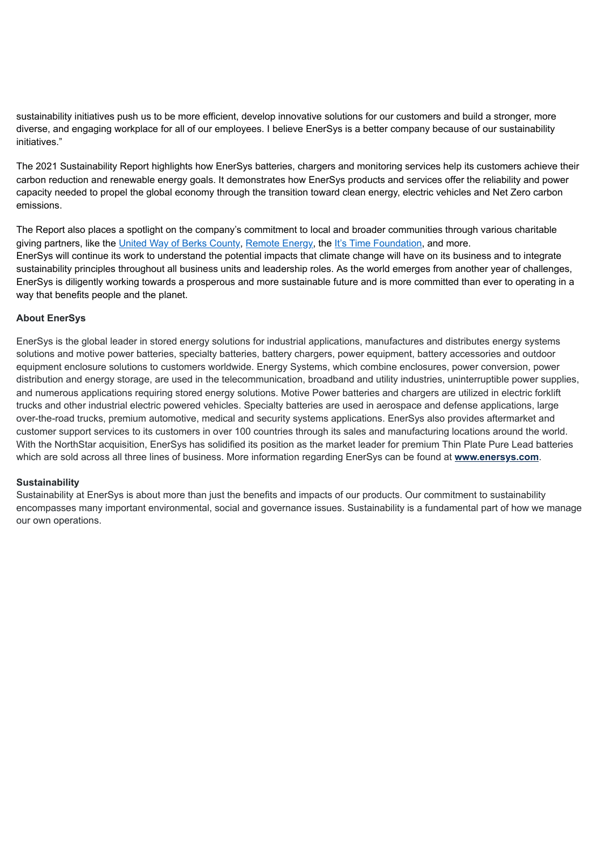sustainability initiatives push us to be more efficient, develop innovative solutions for our customers and build a stronger, more diverse, and engaging workplace for all of our employees. I believe EnerSys is a better company because of our sustainability initiatives."

The 2021 Sustainability Report highlights how EnerSys batteries, chargers and monitoring services help its customers achieve their carbon reduction and renewable energy goals. It demonstrates how EnerSys products and services offer the reliability and power capacity needed to propel the global economy through the transition toward clean energy, electric vehicles and Net Zero carbon emissions.

The Report also places a spotlight on the company's commitment to local and broader communities through various charitable giving partners, like the United Way of Berks County, Remote Energy, the It's Time Foundation, and more. EnerSys will continue its work to understand the potential impacts that climate change will have on its business and to integrate sustainability principles throughout all business units and leadership roles. As the world emerges from another year of challenges, EnerSys is diligently working towards a prosperous and more sustainable future and is more committed than ever to operating in a way that benefits people and the planet.

### **About EnerSys**

EnerSys is the global leader in stored energy solutions for industrial applications, manufactures and distributes energy systems solutions and motive power batteries, specialty batteries, battery chargers, power equipment, battery accessories and outdoor equipment enclosure solutions to customers worldwide. Energy Systems, which combine enclosures, power conversion, power distribution and energy storage, are used in the telecommunication, broadband and utility industries, uninterruptible power supplies, and numerous applications requiring stored energy solutions. Motive Power batteries and chargers are utilized in electric forklift trucks and other industrial electric powered vehicles. Specialty batteries are used in aerospace and defense applications, large over-the-road trucks, premium automotive, medical and security systems applications. EnerSys also provides aftermarket and customer support services to its customers in over 100 countries through its sales and manufacturing locations around the world. With the NorthStar acquisition, EnerSys has solidified its position as the market leader for premium Thin Plate Pure Lead batteries which are sold across all three lines of business. More information regarding EnerSys can be found at **www.enersys.com**.

#### **Sustainability**

Sustainability at EnerSys is about more than just the benefits and impacts of our products. Our commitment to sustainability encompasses many important environmental, social and governance issues. Sustainability is a fundamental part of how we manage our own operations.